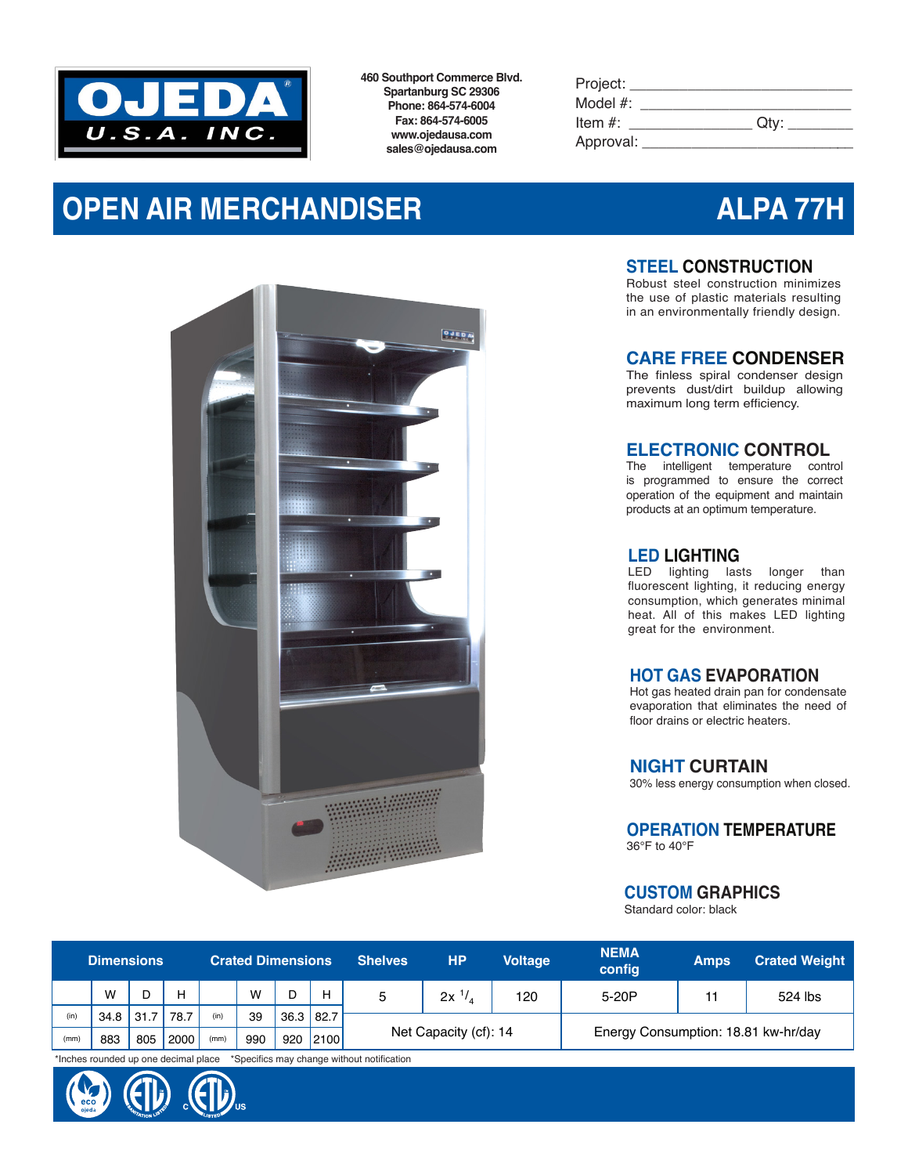

**460 Southport Commerce Blvd. Spartanburg SC 29306 Phone: 864-574-6004 Fax: 864-574-6005 www.ojedausa.com sales@ojedausa.com**

| Project:    |      |
|-------------|------|
| Model $#$ : |      |
| Item $#$ :  | Qtv: |
| Approval:   |      |

# **OPEN AIR MERCHANDISER ALPA 77H**



# **STEEL CONSTRUCTION**

Robust steel construction minimizes the use of plastic materials resulting in an environmentally friendly design.

### **CARE FREE CONDENSER**

The finless spiral condenser design prevents dust/dirt buildup allowing maximum long term efficiency.

### **ELECTRONIC CONTROL**

The intelligent temperature control is programmed to ensure the correct operation of the equipment and maintain products at an optimum temperature.

#### **LED LIGHTING**

LED lighting lasts longer than fluorescent lighting, it reducing energy consumption, which generates minimal heat. All of this makes LED lighting great for the environment.

### **HOT GAS EVAPORATION**

Hot gas heated drain pan for condensate evaporation that eliminates the need of floor drains or electric heaters.

#### **NIGHT CURTAIN**

30% less energy consumption when closed.

# **OPERATION TEMPERATURE**

36°F to 40°F

### **CUSTOM GRAPHICS**

Standard color: black

| <b>Dimensions</b> |             |     |      | <b>Crated Dimensions</b> |     |                  |      | <b>Shelves</b> | <b>HP</b>             | <b>Voltage</b> | <b>NEMA</b><br>config               | <b>Amps</b> | <b>Crated Weight</b> |
|-------------------|-------------|-----|------|--------------------------|-----|------------------|------|----------------|-----------------------|----------------|-------------------------------------|-------------|----------------------|
|                   | W           |     | н    |                          | W   |                  | н    |                | $2x^{1/2}$            | 120            | 5-20P                               | 11          | 524 lbs              |
| (in)              | $34.8$ 31.7 |     | 78.7 | (in)                     | 39  | $36.3 \mid 82.7$ |      |                |                       |                |                                     |             |                      |
| (mm)              | 883         | 805 | 2000 | (mm)                     | 990 | 920              | 2100 |                | Net Capacity (cf): 14 |                | Energy Consumption: 18.81 kw-hr/day |             |                      |

\*Inches rounded up one decimal place \*Specifics may change without notification